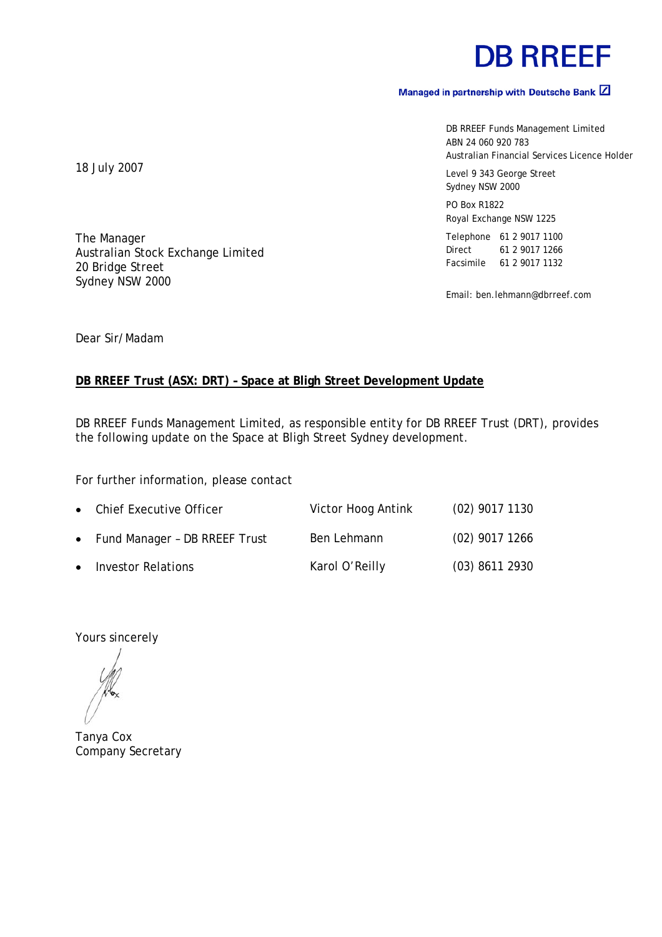# **DB RREEF**

### Managed in partnership with Deutsche Bank  $\boxed{2}$

DB RREEF Funds Management Limited ABN 24 060 920 783 Australian Financial Services Licence Holder

Level 9 343 George Street Sydney NSW 2000

PO Box R1822 Royal Exchange NSW 1225

Telephone 61 2 9017 1100 Direct 61 2 9017 1266 Facsimile 61 2 9017 1132

Email: ben.lehmann@dbrreef.com

18 July 2007

The Manager Australian Stock Exchange Limited 20 Bridge Street Sydney NSW 2000

Dear Sir/Madam

### **DB RREEF Trust (ASX: DRT) – Space at Bligh Street Development Update**

DB RREEF Funds Management Limited, as responsible entity for DB RREEF Trust (DRT), provides the following update on the Space at Bligh Street Sydney development.

For further information, please contact

| • Chief Executive Officer       | Victor Hoog Antink | $(02)$ 9017 1130 |
|---------------------------------|--------------------|------------------|
| • Fund Manager - DB RREEF Trust | Ben Lehmann        | $(02)$ 9017 1266 |
| • Investor Relations            | Karol O'Reilly     | $(03)$ 8611 2930 |

Yours sincerely

Tanya Cox Company Secretary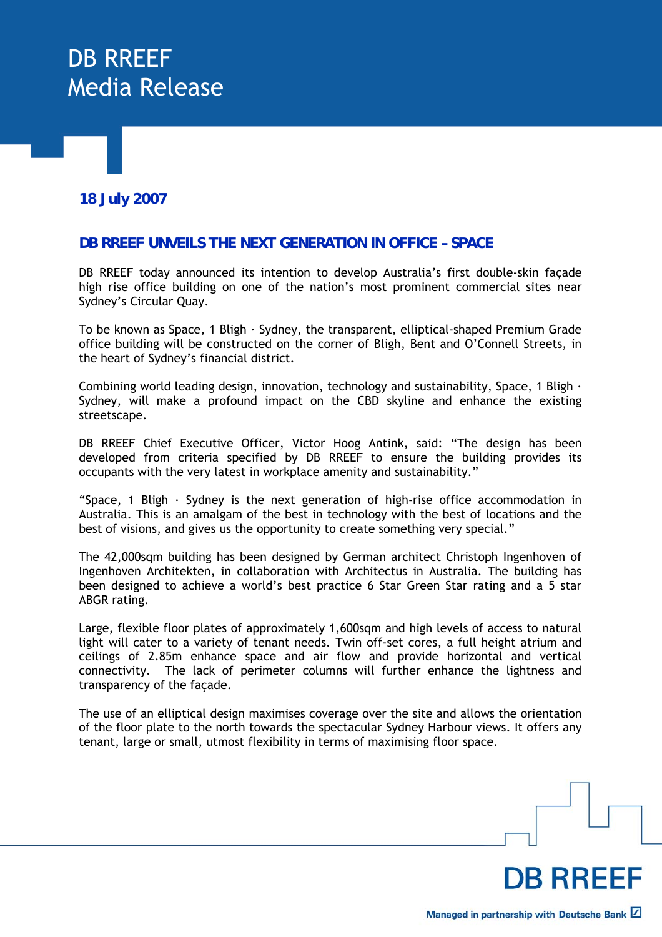## DB RREEF Media Release

### **18 July 2007**

### **DB RREEF UNVEILS THE NEXT GENERATION IN OFFICE – SPACE**

DB RREEF today announced its intention to develop Australia's first double-skin façade high rise office building on one of the nation's most prominent commercial sites near Sydney's Circular Quay.

To be known as Space, 1 Bligh · Sydney, the transparent, elliptical-shaped Premium Grade office building will be constructed on the corner of Bligh, Bent and O'Connell Streets, in the heart of Sydney's financial district.

Combining world leading design, innovation, technology and sustainability, Space, 1 Bligh  $\cdot$ Sydney, will make a profound impact on the CBD skyline and enhance the existing streetscape.

DB RREEF Chief Executive Officer, Victor Hoog Antink, said: "The design has been developed from criteria specified by DB RREEF to ensure the building provides its occupants with the very latest in workplace amenity and sustainability."

"Space, 1 Bligh  $\cdot$  Sydney is the next generation of high-rise office accommodation in Australia. This is an amalgam of the best in technology with the best of locations and the best of visions, and gives us the opportunity to create something very special."

The 42,000sqm building has been designed by German architect Christoph Ingenhoven of Ingenhoven Architekten, in collaboration with Architectus in Australia. The building has been designed to achieve a world's best practice 6 Star Green Star rating and a 5 star ABGR rating.

Large, flexible floor plates of approximately 1,600sqm and high levels of access to natural light will cater to a variety of tenant needs. Twin off-set cores, a full height atrium and ceilings of 2.85m enhance space and air flow and provide horizontal and vertical connectivity. The lack of perimeter columns will further enhance the lightness and transparency of the façade.

The use of an elliptical design maximises coverage over the site and allows the orientation of the floor plate to the north towards the spectacular Sydney Harbour views. It offers any tenant, large or small, utmost flexibility in terms of maximising floor space.

DB RRFFF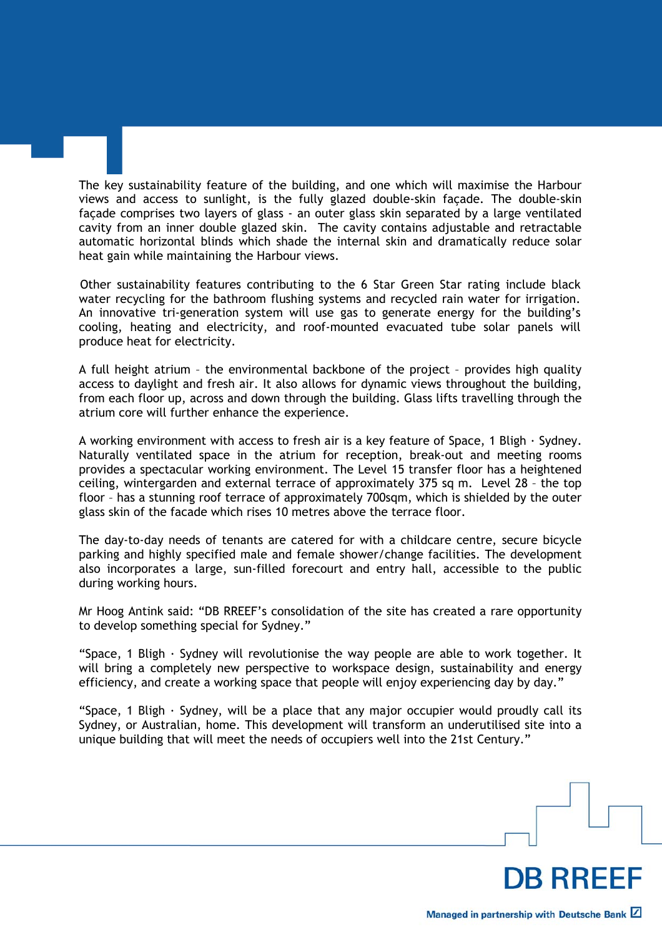The key sustainability feature of the building, and one which will maximise the Harbour views and access to sunlight, is the fully glazed double-skin façade. The double-skin façade comprises two layers of glass - an outer glass skin separated by a large ventilated cavity from an inner double glazed skin. The cavity contains adjustable and retractable automatic horizontal blinds which shade the internal skin and dramatically reduce solar heat gain while maintaining the Harbour views.

Other sustainability features contributing to the 6 Star Green Star rating include black water recycling for the bathroom flushing systems and recycled rain water for irrigation. An innovative tri-generation system will use gas to generate energy for the building's cooling, heating and electricity, and roof-mounted evacuated tube solar panels will produce heat for electricity.

A full height atrium – the environmental backbone of the project – provides high quality access to daylight and fresh air. It also allows for dynamic views throughout the building, from each floor up, across and down through the building. Glass lifts travelling through the atrium core will further enhance the experience.

A working environment with access to fresh air is a key feature of Space, 1 Bligh  $\cdot$  Sydney. Naturally ventilated space in the atrium for reception, break-out and meeting rooms provides a spectacular working environment. The Level 15 transfer floor has a heightened ceiling, wintergarden and external terrace of approximately 375 sq m. Level 28 – the top floor – has a stunning roof terrace of approximately 700sqm, which is shielded by the outer glass skin of the facade which rises 10 metres above the terrace floor.

The day-to-day needs of tenants are catered for with a childcare centre, secure bicycle parking and highly specified male and female shower/change facilities. The development also incorporates a large, sun-filled forecourt and entry hall, accessible to the public during working hours.

Mr Hoog Antink said: "DB RREEF's consolidation of the site has created a rare opportunity to develop something special for Sydney."

"Space, 1 Bligh  $\cdot$  Sydney will revolutionise the way people are able to work together. It will bring a completely new perspective to workspace design, sustainability and energy efficiency, and create a working space that people will enjoy experiencing day by day."

"Space, 1 Bligh  $\cdot$  Sydney, will be a place that any major occupier would proudly call its Sydney, or Australian, home. This development will transform an underutilised site into a unique building that will meet the needs of occupiers well into the 21st Century."

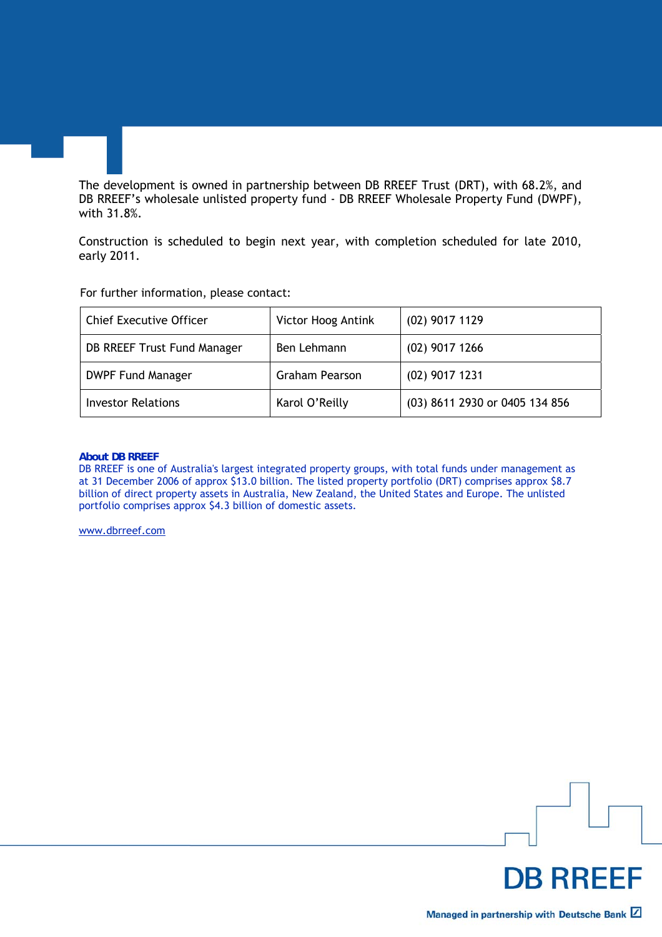The development is owned in partnership between DB RREEF Trust (DRT), with 68.2%, and DB RREEF's wholesale unlisted property fund - DB RREEF Wholesale Property Fund (DWPF), with 31.8%.

Construction is scheduled to begin next year, with completion scheduled for late 2010, early 2011.

For further information, please contact:

| <b>Chief Executive Officer</b> | Victor Hoog Antink    | (02) 9017 1129                 |
|--------------------------------|-----------------------|--------------------------------|
| DB RREEF Trust Fund Manager    | Ben Lehmann           | $(02)$ 9017 1266               |
| <b>DWPF Fund Manager</b>       | <b>Graham Pearson</b> | $(02)$ 9017 1231               |
| <b>Investor Relations</b>      | Karol O'Reilly        | (03) 8611 2930 or 0405 134 856 |

#### **About DB RREEF**

DB RREEF is one of Australia's largest integrated property groups, with total funds under management as at 31 December 2006 of approx \$13.0 billion. The listed property portfolio (DRT) comprises approx \$8.7 billion of direct property assets in Australia, New Zealand, the United States and Europe. The unlisted portfolio comprises approx \$4.3 billion of domestic assets.

www.dbrreef.com